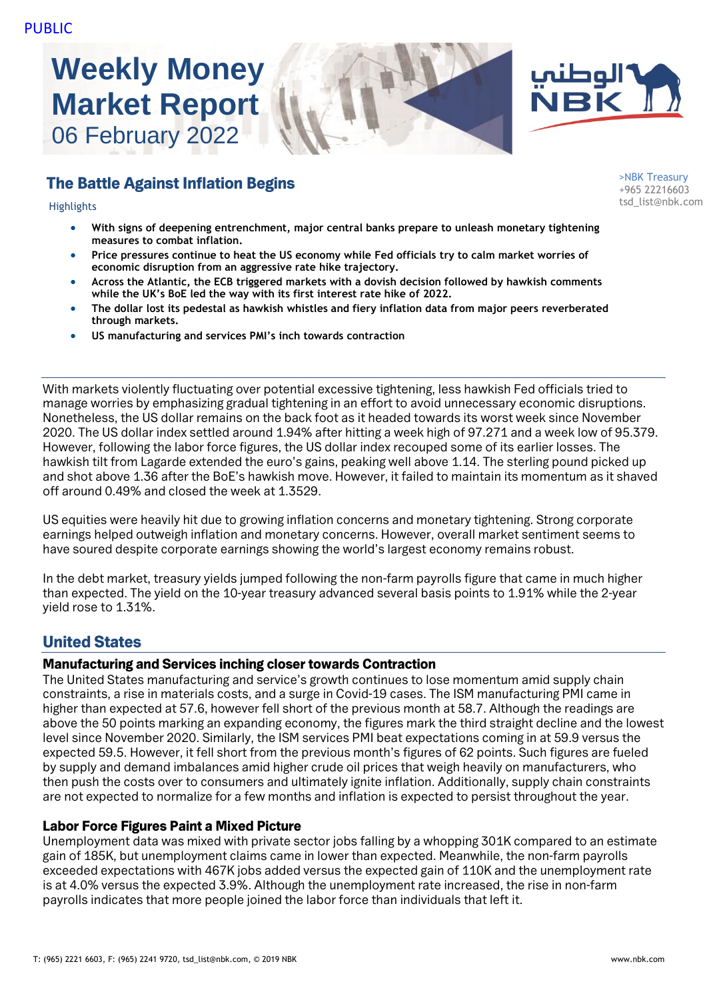# **Weekly Money Market Report** 06 February 2022

# The Battle Against Inflation Begins

- **With signs of deepening entrenchment, major central banks prepare to unleash monetary tightening measures to combat inflation.**
- **Price pressures continue to heat the US economy while Fed officials try to calm market worries of economic disruption from an aggressive rate hike trajectory.**
- **Across the Atlantic, the ECB triggered markets with a dovish decision followed by hawkish comments while the UK's BoE led the way with its first interest rate hike of 2022.**
- **The dollar lost its pedestal as hawkish whistles and fiery inflation data from major peers reverberated through markets.**
- **US manufacturing and services PMI's inch towards contraction**

With markets violently fluctuating over potential excessive tightening, less hawkish Fed officials tried to manage worries by emphasizing gradual tightening in an effort to avoid unnecessary economic disruptions. Nonetheless, the US dollar remains on the back foot as it headed towards its worst week since November 2020. The US dollar index settled around 1.94% after hitting a week high of 97.271 and a week low of 95.379. However, following the labor force figures, the US dollar index recouped some of its earlier losses. The hawkish tilt from Lagarde extended the euro's gains, peaking well above 1.14. The sterling pound picked up and shot above 1.36 after the BoE's hawkish move. However, it failed to maintain its momentum as it shaved off around 0.49% and closed the week at 1.3529.

US equities were heavily hit due to growing inflation concerns and monetary tightening. Strong corporate earnings helped outweigh inflation and monetary concerns. However, overall market sentiment seems to have soured despite corporate earnings showing the world's largest economy remains robust.

In the debt market, treasury yields jumped following the non-farm payrolls figure that came in much higher than expected. The yield on the 10-year treasury advanced several basis points to 1.91% while the 2-year yield rose to 1.31%.

# United States

#### Manufacturing and Services inching closer towards Contraction

The United States manufacturing and service's growth continues to lose momentum amid supply chain constraints, a rise in materials costs, and a surge in Covid-19 cases. The ISM manufacturing PMI came in higher than expected at 57.6, however fell short of the previous month at 58.7. Although the readings are above the 50 points marking an expanding economy, the figures mark the third straight decline and the lowest level since November 2020. Similarly, the ISM services PMI beat expectations coming in at 59.9 versus the expected 59.5. However, it fell short from the previous month's figures of 62 points. Such figures are fueled by supply and demand imbalances amid higher crude oil prices that weigh heavily on manufacturers, who then push the costs over to consumers and ultimately ignite inflation. Additionally, supply chain constraints are not expected to normalize for a few months and inflation is expected to persist throughout the year.

#### Labor Force Figures Paint a Mixed Picture

Unemployment data was mixed with private sector jobs falling by a whopping 301K compared to an estimate gain of 185K, but unemployment claims came in lower than expected. Meanwhile, the non-farm payrolls exceeded expectations with 467K jobs added versus the expected gain of 110K and the unemployment rate is at 4.0% versus the expected 3.9%. Although the unemployment rate increased, the rise in non-farm payrolls indicates that more people joined the labor force than individuals that left it.

>NBK Treasury +965 22216603 tsd\_list@nbk.com Highlights

الوطني<br>NBK